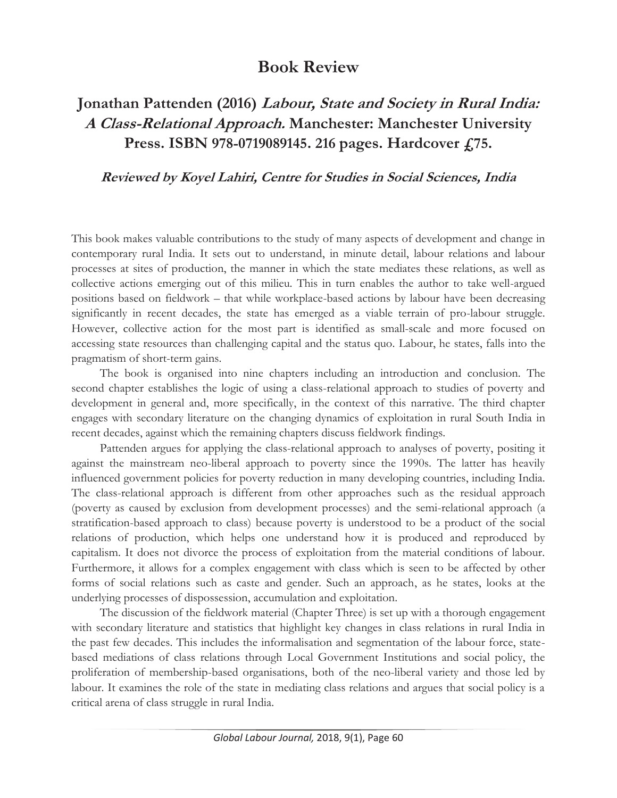## **Book Review**

## **Jonathan Pattenden (2016) Labour, State and Society in Rural India: A Class-Relational Approach. Manchester: Manchester University Press. ISBN 978-0719089145. 216 pages. Hardcover £75.**

## **Reviewed by Koyel Lahiri, Centre for Studies in Social Sciences, India**

This book makes valuable contributions to the study of many aspects of development and change in contemporary rural India. It sets out to understand, in minute detail, labour relations and labour processes at sites of production, the manner in which the state mediates these relations, as well as collective actions emerging out of this milieu. This in turn enables the author to take well-argued positions based on fieldwork – that while workplace-based actions by labour have been decreasing significantly in recent decades, the state has emerged as a viable terrain of pro-labour struggle. However, collective action for the most part is identified as small-scale and more focused on accessing state resources than challenging capital and the status quo. Labour, he states, falls into the pragmatism of short-term gains.

The book is organised into nine chapters including an introduction and conclusion. The second chapter establishes the logic of using a class-relational approach to studies of poverty and development in general and, more specifically, in the context of this narrative. The third chapter engages with secondary literature on the changing dynamics of exploitation in rural South India in recent decades, against which the remaining chapters discuss fieldwork findings.

Pattenden argues for applying the class-relational approach to analyses of poverty, positing it against the mainstream neo-liberal approach to poverty since the 1990s. The latter has heavily influenced government policies for poverty reduction in many developing countries, including India. The class-relational approach is different from other approaches such as the residual approach (poverty as caused by exclusion from development processes) and the semi-relational approach (a stratification-based approach to class) because poverty is understood to be a product of the social relations of production, which helps one understand how it is produced and reproduced by capitalism. It does not divorce the process of exploitation from the material conditions of labour. Furthermore, it allows for a complex engagement with class which is seen to be affected by other forms of social relations such as caste and gender. Such an approach, as he states, looks at the underlying processes of dispossession, accumulation and exploitation.

The discussion of the fieldwork material (Chapter Three) is set up with a thorough engagement with secondary literature and statistics that highlight key changes in class relations in rural India in the past few decades. This includes the informalisation and segmentation of the labour force, statebased mediations of class relations through Local Government Institutions and social policy, the proliferation of membership-based organisations, both of the neo-liberal variety and those led by labour. It examines the role of the state in mediating class relations and argues that social policy is a critical arena of class struggle in rural India.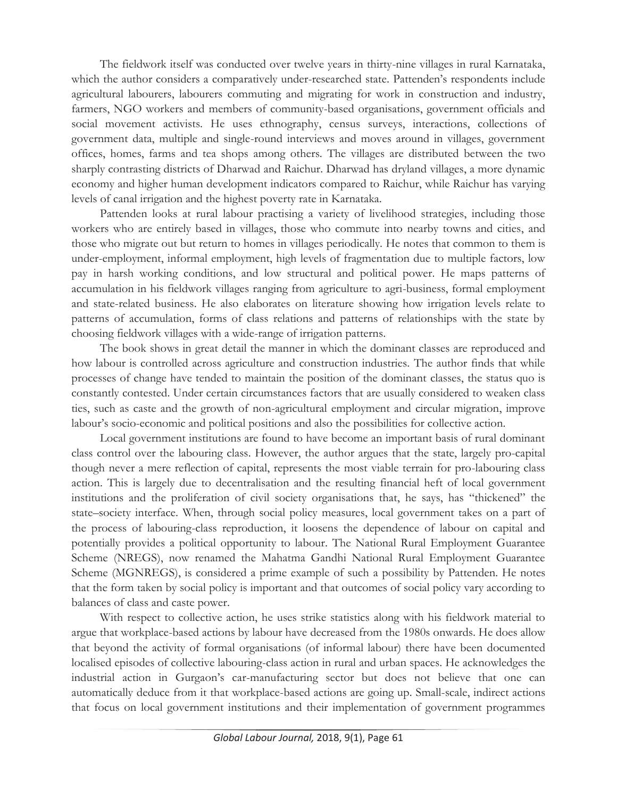The fieldwork itself was conducted over twelve years in thirty-nine villages in rural Karnataka, which the author considers a comparatively under-researched state. Pattenden's respondents include agricultural labourers, labourers commuting and migrating for work in construction and industry, farmers, NGO workers and members of community-based organisations, government officials and social movement activists. He uses ethnography, census surveys, interactions, collections of government data, multiple and single-round interviews and moves around in villages, government offices, homes, farms and tea shops among others. The villages are distributed between the two sharply contrasting districts of Dharwad and Raichur. Dharwad has dryland villages, a more dynamic economy and higher human development indicators compared to Raichur, while Raichur has varying levels of canal irrigation and the highest poverty rate in Karnataka.

Pattenden looks at rural labour practising a variety of livelihood strategies, including those workers who are entirely based in villages, those who commute into nearby towns and cities, and those who migrate out but return to homes in villages periodically. He notes that common to them is under-employment, informal employment, high levels of fragmentation due to multiple factors, low pay in harsh working conditions, and low structural and political power. He maps patterns of accumulation in his fieldwork villages ranging from agriculture to agri-business, formal employment and state-related business. He also elaborates on literature showing how irrigation levels relate to patterns of accumulation, forms of class relations and patterns of relationships with the state by choosing fieldwork villages with a wide-range of irrigation patterns.

The book shows in great detail the manner in which the dominant classes are reproduced and how labour is controlled across agriculture and construction industries. The author finds that while processes of change have tended to maintain the position of the dominant classes, the status quo is constantly contested. Under certain circumstances factors that are usually considered to weaken class ties, such as caste and the growth of non-agricultural employment and circular migration, improve labour's socio-economic and political positions and also the possibilities for collective action.

Local government institutions are found to have become an important basis of rural dominant class control over the labouring class. However, the author argues that the state, largely pro-capital though never a mere reflection of capital, represents the most viable terrain for pro-labouring class action. This is largely due to decentralisation and the resulting financial heft of local government institutions and the proliferation of civil society organisations that, he says, has "thickened" the state–society interface. When, through social policy measures, local government takes on a part of the process of labouring-class reproduction, it loosens the dependence of labour on capital and potentially provides a political opportunity to labour. The National Rural Employment Guarantee Scheme (NREGS), now renamed the Mahatma Gandhi National Rural Employment Guarantee Scheme (MGNREGS), is considered a prime example of such a possibility by Pattenden. He notes that the form taken by social policy is important and that outcomes of social policy vary according to balances of class and caste power.

With respect to collective action, he uses strike statistics along with his fieldwork material to argue that workplace-based actions by labour have decreased from the 1980s onwards. He does allow that beyond the activity of formal organisations (of informal labour) there have been documented localised episodes of collective labouring-class action in rural and urban spaces. He acknowledges the industrial action in Gurgaon's car-manufacturing sector but does not believe that one can automatically deduce from it that workplace-based actions are going up. Small-scale, indirect actions that focus on local government institutions and their implementation of government programmes